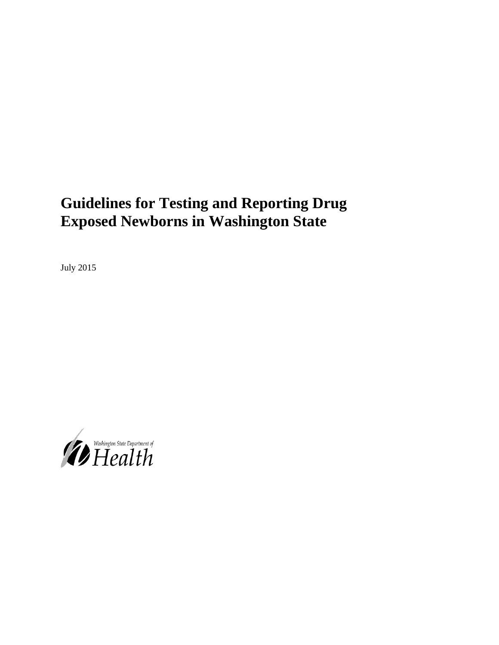# **Guidelines for Testing and Reporting Drug Exposed Newborns in Washington State**

July 2015

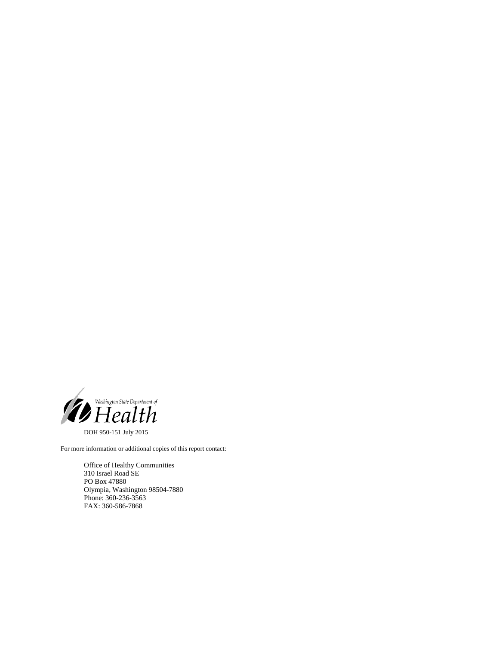

DOH 950-151 July 2015

For more information or additional copies of this report contact:

Office of Healthy Communities 310 Israel Road SE PO Box 47880 Olympia, Washington 98504-7880 Phone: 360-236-3563 FAX: 360-586-7868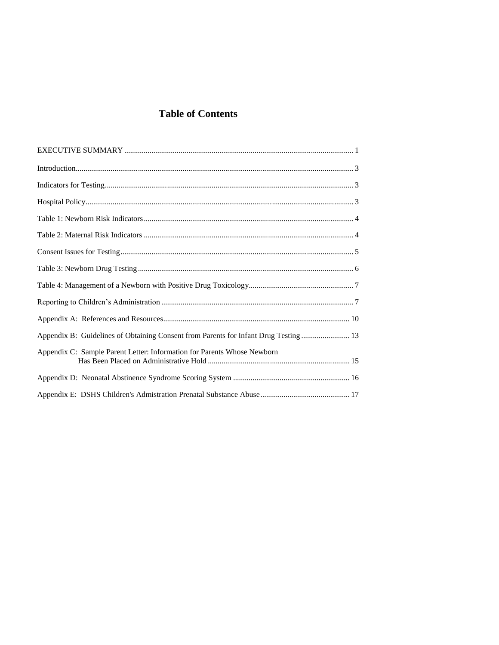# **Table of Contents**

| Appendix B: Guidelines of Obtaining Consent from Parents for Infant Drug Testing  13 |
|--------------------------------------------------------------------------------------|
| Appendix C: Sample Parent Letter: Information for Parents Whose Newborn              |
|                                                                                      |
|                                                                                      |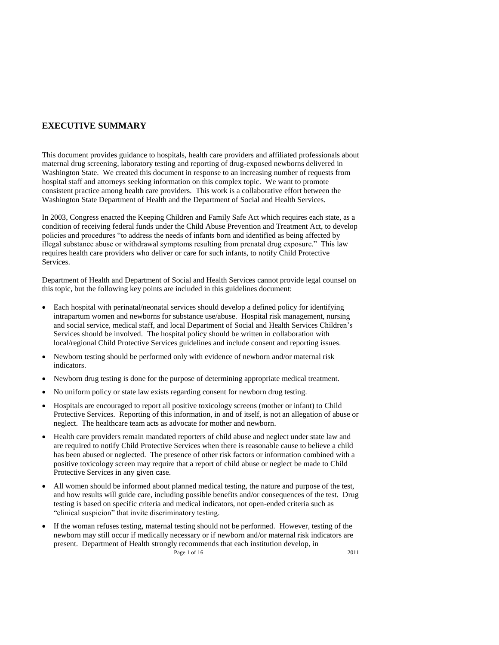# **EXECUTIVE SUMMARY**

This document provides guidance to hospitals, health care providers and affiliated professionals about maternal drug screening, laboratory testing and reporting of drug-exposed newborns delivered in Washington State. We created this document in response to an increasing number of requests from hospital staff and attorneys seeking information on this complex topic. We want to promote consistent practice among health care providers. This work is a collaborative effort between the Washington State Department of Health and the Department of Social and Health Services.

In 2003, Congress enacted the Keeping Children and Family Safe Act which requires each state, as a condition of receiving federal funds under the Child Abuse Prevention and Treatment Act, to develop policies and procedures "to address the needs of infants born and identified as being affected by illegal substance abuse or withdrawal symptoms resulting from prenatal drug exposure." This law requires health care providers who deliver or care for such infants, to notify Child Protective Services.

Department of Health and Department of Social and Health Services cannot provide legal counsel on this topic, but the following key points are included in this guidelines document:

- Each hospital with perinatal/neonatal services should develop a defined policy for identifying intrapartum women and newborns for substance use/abuse. Hospital risk management, nursing and social service, medical staff, and local Department of Social and Health Services Children's Services should be involved. The hospital policy should be written in collaboration with local/regional Child Protective Services guidelines and include consent and reporting issues.
- Newborn testing should be performed only with evidence of newborn and/or maternal risk indicators.
- Newborn drug testing is done for the purpose of determining appropriate medical treatment.
- No uniform policy or state law exists regarding consent for newborn drug testing.
- Hospitals are encouraged to report all positive toxicology screens (mother or infant) to Child Protective Services. Reporting of this information, in and of itself, is not an allegation of abuse or neglect. The healthcare team acts as advocate for mother and newborn.
- Health care providers remain mandated reporters of child abuse and neglect under state law and are required to notify Child Protective Services when there is reasonable cause to believe a child has been abused or neglected. The presence of other risk factors or information combined with a positive toxicology screen may require that a report of child abuse or neglect be made to Child Protective Services in any given case.
- All women should be informed about planned medical testing, the nature and purpose of the test, and how results will guide care, including possible benefits and/or consequences of the test. Drug testing is based on specific criteria and medical indicators, not open-ended criteria such as "clinical suspicion" that invite discriminatory testing.
- Page 1 of 16 2011 If the woman refuses testing, maternal testing should not be performed. However, testing of the newborn may still occur if medically necessary or if newborn and/or maternal risk indicators are present. Department of Health strongly recommends that each institution develop, in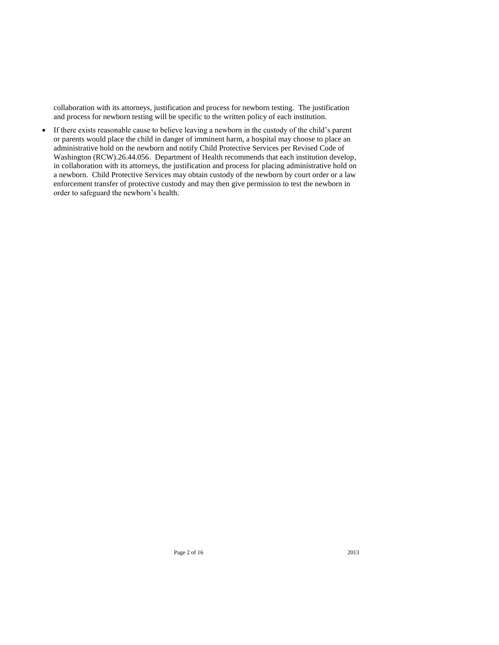collaboration with its attorneys, justification and process for newborn testing. The justification and process for newborn testing will be specific to the written policy of each institution.

 If there exists reasonable cause to believe leaving a newborn in the custody of the child's parent or parents would place the child in danger of imminent harm, a hospital may choose to place an administrative hold on the newborn and notify Child Protective Services per Revised Code of Washington (RCW).26.44.056. Department of Health recommends that each institution develop, in collaboration with its attorneys, the justification and process for placing administrative hold on a newborn. Child Protective Services may obtain custody of the newborn by court order or a law enforcement transfer of protective custody and may then give permission to test the newborn in order to safeguard the newborn's health.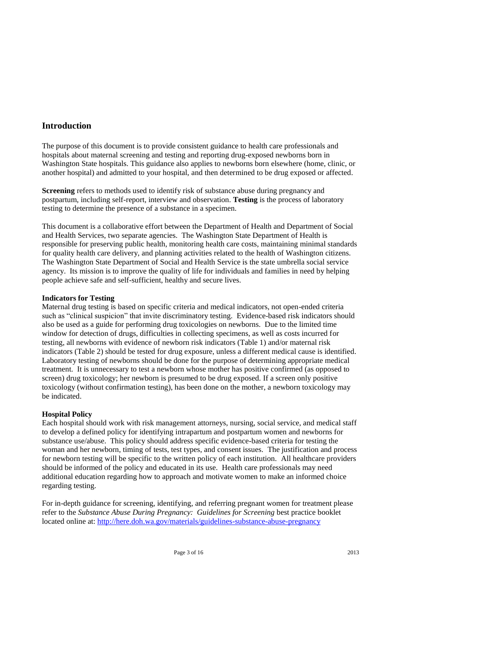# **Introduction**

The purpose of this document is to provide consistent guidance to health care professionals and hospitals about maternal screening and testing and reporting drug-exposed newborns born in Washington State hospitals. This guidance also applies to newborns born elsewhere (home, clinic, or another hospital) and admitted to your hospital, and then determined to be drug exposed or affected.

**Screening** refers to methods used to identify risk of substance abuse during pregnancy and postpartum, including self-report, interview and observation. **Testing** is the process of laboratory testing to determine the presence of a substance in a specimen.

This document is a collaborative effort between the Department of Health and Department of Social and Health Services, two separate agencies. The Washington State Department of Health is responsible for preserving public health, monitoring health care costs, maintaining minimal standards for quality health care delivery, and planning activities related to the health of Washington citizens. The Washington State Department of Social and Health Service is the state umbrella social service agency. Its mission is to improve the quality of life for individuals and families in need by helping people achieve safe and self-sufficient, healthy and secure lives.

#### **Indicators for Testing**

Maternal drug testing is based on specific criteria and medical indicators, not open-ended criteria such as "clinical suspicion" that invite discriminatory testing. Evidence-based risk indicators should also be used as a guide for performing drug toxicologies on newborns. Due to the limited time window for detection of drugs, difficulties in collecting specimens, as well as costs incurred for testing, all newborns with evidence of newborn risk indicators (Table 1) and/or maternal risk indicators (Table 2) should be tested for drug exposure, unless a different medical cause is identified. Laboratory testing of newborns should be done for the purpose of determining appropriate medical treatment. It is unnecessary to test a newborn whose mother has positive confirmed (as opposed to screen) drug toxicology; her newborn is presumed to be drug exposed. If a screen only positive toxicology (without confirmation testing), has been done on the mother, a newborn toxicology may be indicated.

#### **Hospital Policy**

Each hospital should work with risk management attorneys, nursing, social service, and medical staff to develop a defined policy for identifying intrapartum and postpartum women and newborns for substance use/abuse. This policy should address specific evidence-based criteria for testing the woman and her newborn, timing of tests, test types, and consent issues. The justification and process for newborn testing will be specific to the written policy of each institution. All healthcare providers should be informed of the policy and educated in its use. Health care professionals may need additional education regarding how to approach and motivate women to make an informed choice regarding testing.

For in-depth guidance for screening, identifying, and referring pregnant women for treatment please refer to the *Substance Abuse During Pregnancy: Guidelines for Screening* best practice booklet located online at: http://here.doh.wa.gov/materials/guidelines-substance-abuse-pregnancy

Page 3 of 16 2013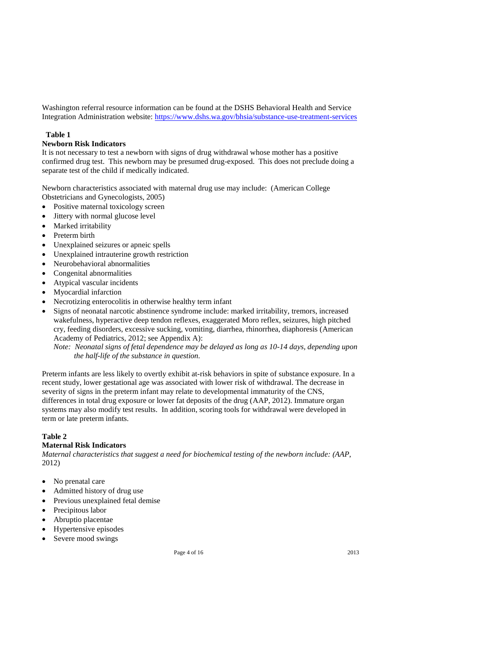Washington referral resource information can be found at the DSHS Behavioral Health and Service Integration Administration website: https://www.dshs.wa.gov/bhsia/substance-use-treatment-services

# **Table 1**

# **Newborn Risk Indicators**

It is not necessary to test a newborn with signs of drug withdrawal whose mother has a positive confirmed drug test. This newborn may be presumed drug-exposed. This does not preclude doing a separate test of the child if medically indicated.

Newborn characteristics associated with maternal drug use may include: (American College Obstetricians and Gynecologists, 2005)

- Positive maternal toxicology screen
- Jittery with normal glucose level
- Marked irritability
- Preterm birth
- Unexplained seizures or apneic spells
- Unexplained intrauterine growth restriction
- Neurobehavioral abnormalities
- Congenital abnormalities
- Atypical vascular incidents
- Myocardial infarction
- Necrotizing enterocolitis in otherwise healthy term infant
- Signs of neonatal narcotic abstinence syndrome include: marked irritability, tremors, increased wakefulness, hyperactive deep tendon reflexes, exaggerated Moro reflex, seizures, high pitched cry, feeding disorders, excessive sucking, vomiting, diarrhea, rhinorrhea, diaphoresis (American Academy of Pediatrics, 2012; see Appendix A):

*Note: Neonatal signs of fetal dependence may be delayed as long as 10-14 days, depending upon the half-life of the substance in question.*

Preterm infants are less likely to overtly exhibit at-risk behaviors in spite of substance exposure. In a recent study, lower gestational age was associated with lower risk of withdrawal. The decrease in severity of signs in the preterm infant may relate to developmental immaturity of the CNS, differences in total drug exposure or lower fat deposits of the drug (AAP, 2012). Immature organ systems may also modify test results. In addition, scoring tools for withdrawal were developed in term or late preterm infants.

# **Table 2**

# **Maternal Risk Indicators**

*Maternal characteristics that suggest a need for biochemical testing of the newborn include: (AAP*, 2012)

- No prenatal care
- Admitted history of drug use
- Previous unexplained fetal demise
- Precipitous labor
- Abruptio placentae
- Hypertensive episodes
- Severe mood swings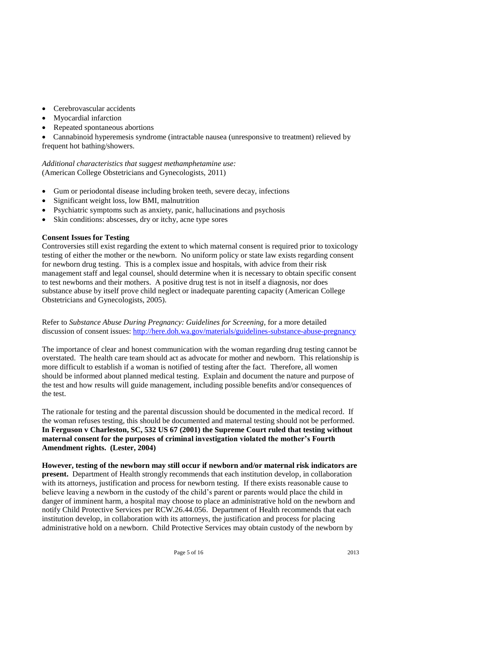- Cerebrovascular accidents
- Myocardial infarction
- Repeated spontaneous abortions

 Cannabinoid hyperemesis syndrome (intractable nausea (unresponsive to treatment) relieved by frequent hot bathing/showers.

*Additional characteristics that suggest methamphetamine use:* (American College Obstetricians and Gynecologists, 2011)

- Gum or periodontal disease including broken teeth, severe decay, infections
- Significant weight loss, low BMI, malnutrition
- Psychiatric symptoms such as anxiety, panic, hallucinations and psychosis
- Skin conditions: abscesses, dry or itchy, acne type sores

#### **Consent Issues for Testing**

Controversies still exist regarding the extent to which maternal consent is required prior to toxicology testing of either the mother or the newborn. No uniform policy or state law exists regarding consent for newborn drug testing. This is a complex issue and hospitals, with advice from their risk management staff and legal counsel, should determine when it is necessary to obtain specific consent to test newborns and their mothers. A positive drug test is not in itself a diagnosis, nor does substance abuse by itself prove child neglect or inadequate parenting capacity (American College Obstetricians and Gynecologists, 2005).

Refer to *Substance Abuse During Pregnancy: Guidelines for Screening,* for a more detailed discussion of consent issues: http://here.doh.wa.gov/materials/guidelines-substance-abuse-pregnancy

The importance of clear and honest communication with the woman regarding drug testing cannot be overstated. The health care team should act as advocate for mother and newborn. This relationship is more difficult to establish if a woman is notified of testing after the fact. Therefore, all women should be informed about planned medical testing. Explain and document the nature and purpose of the test and how results will guide management, including possible benefits and/or consequences of the test.

The rationale for testing and the parental discussion should be documented in the medical record. If the woman refuses testing, this should be documented and maternal testing should not be performed. **In Ferguson v Charleston, SC, 532 US 67 (2001) the Supreme Court ruled that testing without maternal consent for the purposes of criminal investigation violated the mother's Fourth Amendment rights. (Lester, 2004)**

**However, testing of the newborn may still occur if newborn and/or maternal risk indicators are present.** Department of Health strongly recommends that each institution develop, in collaboration with its attorneys, justification and process for newborn testing. If there exists reasonable cause to believe leaving a newborn in the custody of the child's parent or parents would place the child in danger of imminent harm, a hospital may choose to place an administrative hold on the newborn and notify Child Protective Services per RCW.26.44.056. Department of Health recommends that each institution develop, in collaboration with its attorneys, the justification and process for placing administrative hold on a newborn. Child Protective Services may obtain custody of the newborn by

Page 5 of 16 2013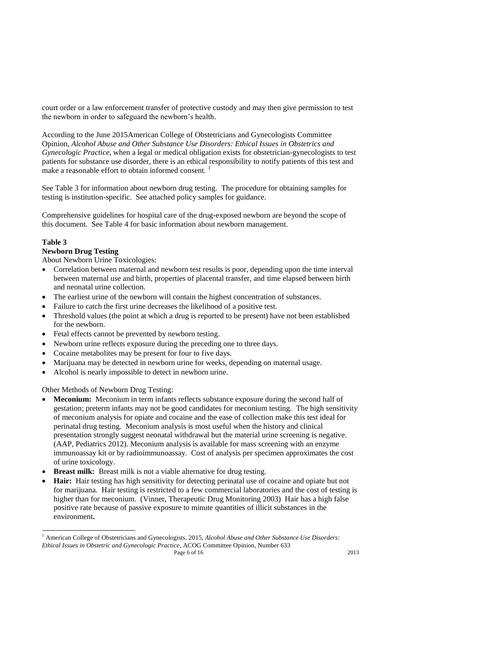court order or a law enforcement transfer of protective custody and may then give permission to test the newborn in order to safeguard the newborn's health.

According to the June 2015American College of Obstetricians and Gynecologists Committee Opinion, *Alcohol Abuse and Other Substance Use Disorders: Ethical Issues in Obstetrics and Gynecologic Practice*, when a legal or medical obligation exists for obstetrician-gynecologists to test patients for substance use disorder, there is an ethical responsibility to notify patients of this test and make a reasonable effort to obtain informed consent.

See Table 3 for information about newborn drug testing. The procedure for obtaining samples for testing is institution-specific. See attached policy samples for guidance.

Comprehensive guidelines for hospital care of the drug-exposed newborn are beyond the scope of this document. See Table 4 for basic information about newborn management.

# **Table 3**

l

# **Newborn Drug Testing**

About Newborn Urine Toxicologies:

- Correlation between maternal and newborn test results is poor, depending upon the time interval between maternal use and birth, properties of placental transfer, and time elapsed between birth and neonatal urine collection.
- The earliest urine of the newborn will contain the highest concentration of substances.
- Failure to catch the first urine decreases the likelihood of a positive test.
- Threshold values (the point at which a drug is reported to be present) have not been established for the newborn.
- Fetal effects cannot be prevented by newborn testing.
- Newborn urine reflects exposure during the preceding one to three days.
- Cocaine metabolites may be present for four to five days.
- Marijuana may be detected in newborn urine for weeks, depending on maternal usage.
- Alcohol is nearly impossible to detect in newborn urine.

Other Methods of Newborn Drug Testing:

- **Meconium:** Meconium in term infants reflects substance exposure during the second half of gestation; preterm infants may not be good candidates for meconium testing. The high sensitivity of meconium analysis for opiate and cocaine and the ease of collection make this test ideal for perinatal drug testing. Meconium analysis is most useful when the history and clinical presentation strongly suggest neonatal withdrawal but the material urine screening is negative. (AAP, Pediatrics 2012). Meconium analysis is available for mass screening with an enzyme immunoassay kit or by radioimmunoassay. Cost of analysis per specimen approximates the cost of urine toxicology.
- **Breast milk:** Breast milk is not a viable alternative for drug testing.
- **Hair:** Hair testing has high sensitivity for detecting perinatal use of cocaine and opiate but not for marijuana. Hair testing is restricted to a few commercial laboratories and the cost of testing is higher than for meconium. (Vinner, Therapeutic Drug Monitoring 2003) Hair has a high false positive rate because of passive exposure to minute quantities of illicit substances in the environment**.**

Page 6 of 16 2013 <sup>1</sup> American College of Obstetricians and Gynecologists. 2015*, Alcohol Abuse and Other Substance Use Disorders: Ethical Issues in Obstetric and Gynecologic Practice*, ACOG Committee Opinion, Number 633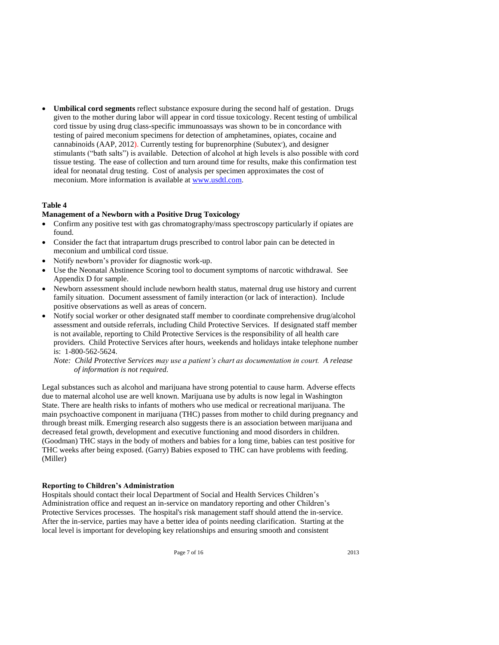**Umbilical cord segments** reflect substance exposure during the second half of gestation. Drugs given to the mother during labor will appear in cord tissue toxicology. Recent testing of umbilical cord tissue by using drug class-specific immunoassays was shown to be in concordance with testing of paired meconium specimens for detection of amphetamines, opiates, cocaine and cannabinoids (AAP, 2012). Currently testing for buprenorphine (Subutex'), and designer stimulants ("bath salts") is available. Detection of alcohol at high levels is also possible with cord tissue testing. The ease of collection and turn around time for results, make this confirmation test ideal for neonatal drug testing. Cost of analysis per specimen approximates the cost of meconium. More information is available at www.usdtl.com.

#### **Table 4**

#### **Management of a Newborn with a Positive Drug Toxicology**

- Confirm any positive test with gas chromatography/mass spectroscopy particularly if opiates are found.
- Consider the fact that intrapartum drugs prescribed to control labor pain can be detected in meconium and umbilical cord tissue.
- Notify newborn's provider for diagnostic work-up.
- Use the Neonatal Abstinence Scoring tool to document symptoms of narcotic withdrawal. See Appendix D for sample.
- Newborn assessment should include newborn health status, maternal drug use history and current family situation. Document assessment of family interaction (or lack of interaction). Include positive observations as well as areas of concern.
- Notify social worker or other designated staff member to coordinate comprehensive drug/alcohol assessment and outside referrals, including Child Protective Services. If designated staff member is not available, reporting to Child Protective Services is the responsibility of all health care providers. Child Protective Services after hours, weekends and holidays intake telephone number is: 1-800-562-5624.
	- *Note: Child Protective Services may use a patient's chart as documentation in court. A release of information is not required.*

Legal substances such as alcohol and marijuana have strong potential to cause harm*.* Adverse effects due to maternal alcohol use are well known*.* Marijuana use by adults is now legal in Washington State. There are health risks to infants of mothers who use medical or recreational marijuana. The main psychoactive component in marijuana (THC) passes from mother to child during pregnancy and through breast milk. Emerging research also suggests there is an association between marijuana and decreased fetal growth, development and executive functioning and mood disorders in children. (Goodman) THC stays in the body of mothers and babies for a long time, babies can test positive for THC weeks after being exposed. (Garry) Babies exposed to THC can have problems with feeding. (Miller)

#### **Reporting to Children's Administration**

Hospitals should contact their local Department of Social and Health Services Children's Administration office and request an in-service on mandatory reporting and other Children's Protective Services processes. The hospital's risk management staff should attend the in-service. After the in-service, parties may have a better idea of points needing clarification. Starting at the local level is important for developing key relationships and ensuring smooth and consistent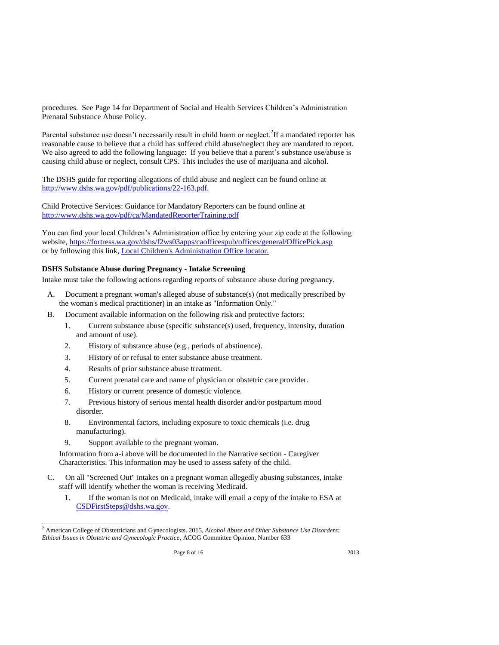procedures. See Page 14 for Department of Social and Health Services Children's Administration Prenatal Substance Abuse Policy.

Parental substance use doesn't necessarily result in child harm or neglect.<sup>2</sup>If a mandated reporter has reasonable cause to believe that a child has suffered child abuse/neglect they are mandated to report. We also agreed to add the following language: If you believe that a parent's substance use/abuse is causing child abuse or neglect, consult CPS. This includes the use of marijuana and alcohol.

The DSHS guide for reporting allegations of child abuse and neglect can be found online at http://www.dshs.wa.gov/pdf/publications/22-163.pdf.

Child Protective Services: Guidance for Mandatory Reporters can be found online at http://www.dshs.wa.gov/pdf/ca/MandatedReporterTraining.pdf

You can find your local Children's Administration office by entering your zip code at the following website, https://fortress.wa.gov/dshs/f2ws03apps/caofficespub/offices/general/OfficePick.asp or by following this link, Local Children's Administration Office locator.

# **DSHS Substance Abuse during Pregnancy - Intake Screening**

Intake must take the following actions regarding reports of substance abuse during pregnancy.

- A. Document a pregnant woman's alleged abuse of substance(s) (not medically prescribed by the woman's medical practitioner) in an intake as "Information Only."
- B. Document available information on the following risk and protective factors:
	- 1. Current substance abuse (specific substance(s) used, frequency, intensity, duration and amount of use).
	- 2. History of substance abuse (e.g., periods of abstinence).
	- 3. History of or refusal to enter substance abuse treatment.
	- 4. Results of prior substance abuse treatment.
	- 5. Current prenatal care and name of physician or obstetric care provider.
	- 6. History or current presence of domestic violence.
	- 7. Previous history of serious mental health disorder and/or postpartum mood disorder.
	- 8. Environmental factors, including exposure to toxic chemicals (i.e. drug manufacturing).
	- 9. Support available to the pregnant woman.

 $\overline{a}$ 

Information from a-i above will be documented in the Narrative section - Caregiver Characteristics. This information may be used to assess safety of the child.

- C. On all "Screened Out" intakes on a pregnant woman allegedly abusing substances, intake staff will identify whether the woman is receiving Medicaid.
	- 1. If the woman is not on Medicaid, intake will email a copy of the intake to ESA at CSDFirstSteps@dshs.wa.gov.

<sup>2</sup> American College of Obstetricians and Gynecologists. 2015*, Alcohol Abuse and Other Substance Use Disorders: Ethical Issues in Obstetric and Gynecologic Practice*, ACOG Committee Opinion, Number 633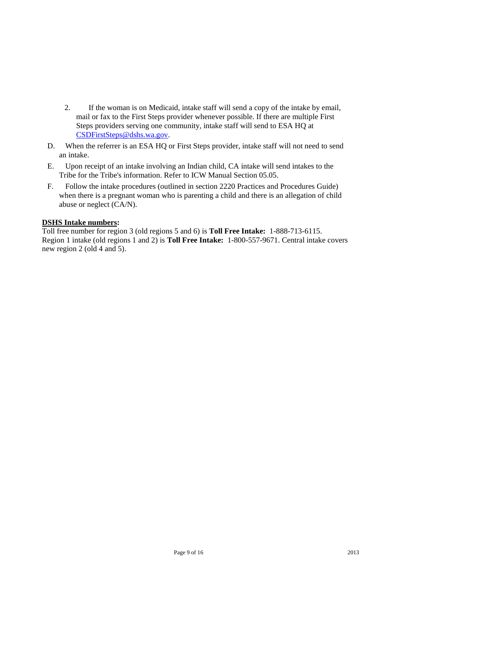- 2. If the woman is on Medicaid, intake staff will send a copy of the intake by email, mail or fax to the First Steps provider whenever possible. If there are multiple First Steps providers serving one community, intake staff will send to ESA HQ at CSDFirstSteps@dshs.wa.gov.
- D. When the referrer is an ESA HQ or First Steps provider, intake staff will not need to send an intake.
- E. Upon receipt of an intake involving an Indian child, CA intake will send intakes to the Tribe for the Tribe's information. Refer to ICW Manual Section 05.05.
- F. Follow the intake procedures (outlined in section 2220 Practices and Procedures Guide) when there is a pregnant woman who is parenting a child and there is an allegation of child abuse or neglect (CA/N).

# **DSHS Intake numbers:**

Toll free number for region 3 (old regions 5 and 6) is **Toll Free Intake:** 1-888-713-6115. Region 1 intake (old regions 1 and 2) is **Toll Free Intake:** 1-800-557-9671. Central intake covers new region 2 (old 4 and 5).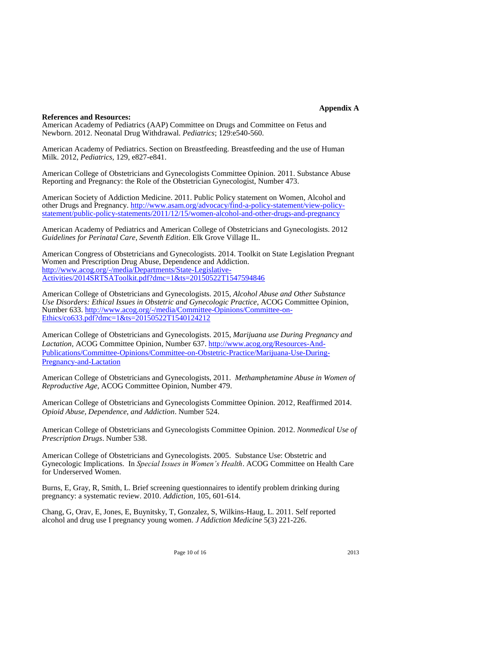# **Appendix A**

#### **References and Resources:**

American Academy of Pediatrics (AAP) Committee on Drugs and Committee on Fetus and Newborn. 2012. Neonatal Drug Withdrawal. *Pediatrics*; 129:e540-560.

American Academy of Pediatrics. Section on Breastfeeding. Breastfeeding and the use of Human Milk. 2012, *Pediatrics,* 129, e827-e841.

American College of Obstetricians and Gynecologists Committee Opinion. 2011. Substance Abuse Reporting and Pregnancy: the Role of the Obstetrician Gynecologist, Number 473.

American Society of Addiction Medicine. 2011. Public Policy statement on Women, Alcohol and other Drugs and Pregnancy. http://www.asam.org/advocacy/find-a-policy-statement/view-policystatement/public-policy-statements/2011/12/15/women-alcohol-and-other-drugs-and-pregnancy

American Academy of Pediatrics and American College of Obstetricians and Gynecologists. 2012 *Guidelines for Perinatal Care, Seventh Edition*. Elk Grove Village IL.

American Congress of Obstetricians and Gynecologists. 2014. Toolkit on State Legislation Pregnant Women and Prescription Drug Abuse, Dependence and Addiction. http://www.acog.org/-/media/Departments/State-Legislative-Activities/2014SRTSAToolkit.pdf?dmc=1&ts=20150522T1547594846

American College of Obstetricians and Gynecologists. 2015*, Alcohol Abuse and Other Substance Use Disorders: Ethical Issues in Obstetric and Gynecologic Practice*, ACOG Committee Opinion, Number 633. http://www.acog.org/-/media/Committee-Opinions/Committee-on-Ethics/co633.pdf?dmc=1&ts=20150522T1540124212

American College of Obstetricians and Gynecologists. 2015*, Marijuana use During Pregnancy and Lactation,* ACOG Committee Opinion, Number 637. http://www.acog.org/Resources-And-Publications/Committee-Opinions/Committee-on-Obstetric-Practice/Marijuana-Use-During-Pregnancy-and-Lactation

American College of Obstetricians and Gynecologists, 2011. *Methamphetamine Abuse in Women of Reproductive Age,* ACOG Committee Opinion, Number 479.

American College of Obstetricians and Gynecologists Committee Opinion. 2012*,* Reaffirmed 2014. *Opioid Abuse, Dependence, and Addiction*. Number 524.

American College of Obstetricians and Gynecologists Committee Opinion. 2012. *Nonmedical Use of Prescription Drugs*. Number 538.

American College of Obstetricians and Gynecologists. 2005. Substance Use: Obstetric and Gynecologic Implications. In *Special Issues in Women's Health*. ACOG Committee on Health Care for Underserved Women.

Burns, E, Gray, R, Smith, L. Brief screening questionnaires to identify problem drinking during pregnancy: a systematic review. 2010. *Addiction,* 105, 601-614.

Chang, G, Orav, E, Jones, E, Buynitsky, T, Gonzalez, S, Wilkins-Haug, L. 2011. Self reported alcohol and drug use I pregnancy young women. *J Addiction Medicine* 5(3) 221-226.

Page 10 of 16 2013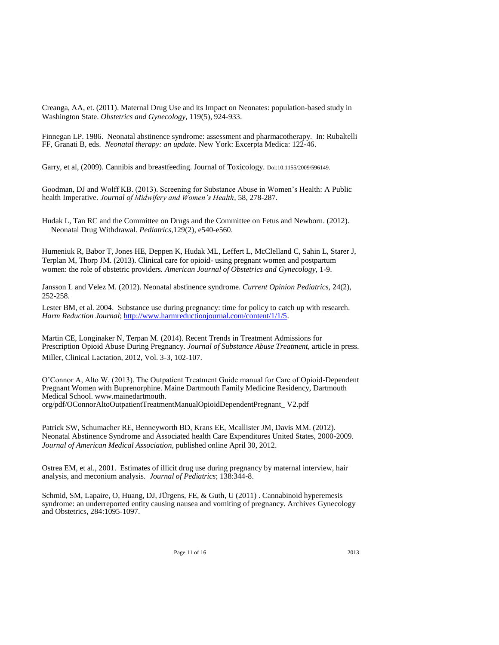Creanga, AA, et. (2011). Maternal Drug Use and its Impact on Neonates: population-based study in Washington State. *Obstetrics and Gynecology,* 119(5), 924-933.

Finnegan LP. 1986. Neonatal abstinence syndrome: assessment and pharmacotherapy. In: Rubaltelli FF, Granati B, eds. *Neonatal therapy: an update*. New York: Excerpta Medica: 122-46.

Garry, et al, (2009). Cannibis and breastfeeding. Journal of Toxicology. Doi:10.1155/2009/596149.

Goodman, DJ and Wolff KB. (2013). Screening for Substance Abuse in Women's Health: A Public health Imperative. *Journal of Midwifery and Women's Health*, 58, 278-287.

Hudak L, Tan RC and the Committee on Drugs and the Committee on Fetus and Newborn. (2012). Neonatal Drug Withdrawal. *Pediatrics*,129(2), e540-e560.

Humeniuk R, Babor T, Jones HE, Deppen K, Hudak ML, Leffert L, McClelland C, Sahin L, Starer J, Terplan M, Thorp JM. (2013). Clinical care for opioid- using pregnant women and postpartum women: the role of obstetric providers. *American Journal of Obstetrics and Gynecology,* 1-9.

Jansson L and Velez M. (2012). Neonatal abstinence syndrome. *Current Opinion Pediatrics,* 24(2), 252-258.

Lester BM, et al. 2004. Substance use during pregnancy: time for policy to catch up with research. *Harm Reduction Journal*; http://www.harmreductionjournal.com/content/1/1/5.

Martin CE, Longinaker N, Terpan M. (2014). Recent Trends in Treatment Admissions for Prescription Opioid Abuse During Pregnancy. *Journal of Substance Abuse Treatment,* article in press. Miller, Clinical Lactation, 2012, Vol. 3-3, 102-107.

O'Connor A, Alto W. (2013). The Outpatient Treatment Guide manual for Care of Opioid-Dependent Pregnant Women with Buprenorphine. Maine Dartmouth Family Medicine Residency, Dartmouth Medical School. www.mainedartmouth. org/pdf/OConnorAltoOutpatientTreatmentManualOpioidDependentPregnant\_ V2.pdf

Patrick SW, Schumacher RE, Benneyworth BD, Krans EE, Mcallister JM, Davis MM. (2012). Neonatal Abstinence Syndrome and Associated health Care Expenditures United States, 2000-2009. *Journal of American Medical Association,* published online April 30, 2012.

Ostrea EM, et al., 2001. Estimates of illicit drug use during pregnancy by maternal interview, hair analysis, and meconium analysis. *Journal of Pediatrics*; 138:344-8.

Schmid, SM, Lapaire, O, Huang, DJ, JÜrgens, FE, & Guth, U (2011) . Cannabinoid hyperemesis syndrome: an underreported entity causing nausea and vomiting of pregnancy. Archives Gynecology and Obstetrics, 284:1095-1097.

Page 11 of 16 2013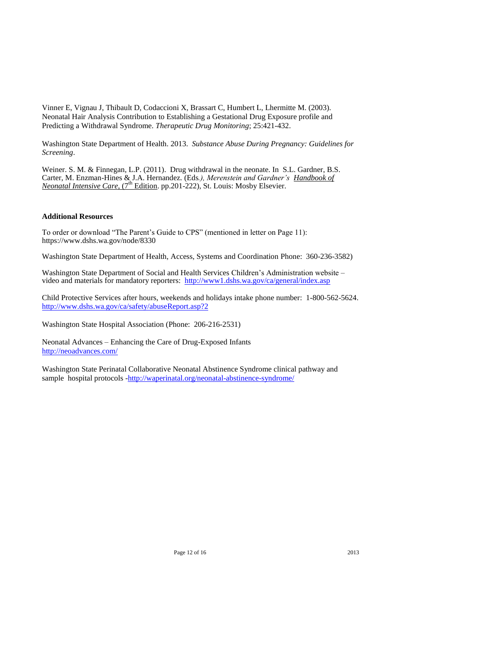Vinner E, Vignau J, Thibault D, Codaccioni X, Brassart C, Humbert L, Lhermitte M. (2003). Neonatal Hair Analysis Contribution to Establishing a Gestational Drug Exposure profile and Predicting a Withdrawal Syndrome. *Therapeutic Drug Monitoring*; 25:421-432.

Washington State Department of Health. 2013. *Substance Abuse During Pregnancy: Guidelines for Screening*.

Weiner. S. M. & Finnegan, L.P. (2011). Drug withdrawal in the neonate. In S.L. Gardner, B.S. Carter, M. Enzman-Hines & J.A. Hernandez. (Eds*.), Merenstein and Gardner's Handbook of Neonatal Intensive Care,* (7<sup>th</sup> Edition. pp.201-222), St. Louis: Mosby Elsevier.

#### **Additional Resources**

To order or download "The Parent's Guide to CPS" (mentioned in letter on Page 11): https://www.dshs.wa.gov/node/8330

Washington State Department of Health, Access, Systems and Coordination Phone: 360-236-3582)

Washington State Department of Social and Health Services Children's Administration website – video and materials for mandatory reporters: http://www1.dshs.wa.gov/ca/general/index.asp

Child Protective Services after hours, weekends and holidays intake phone number: 1-800-562-5624. http://www.dshs.wa.gov/ca/safety/abuseReport.asp?2

Washington State Hospital Association (Phone: 206-216-2531)

Neonatal Advances – Enhancing the Care of Drug-Exposed Infants http://neoadvances.com/

Washington State Perinatal Collaborative Neonatal Abstinence Syndrome clinical pathway and sample hospital protocols -http://waperinatal.org/neonatal-abstinence-syndrome/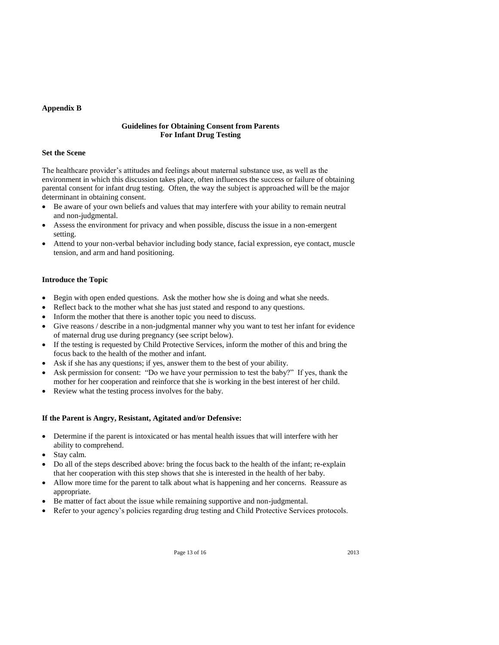# **Appendix B**

# **Guidelines for Obtaining Consent from Parents For Infant Drug Testing**

# **Set the Scene**

The healthcare provider's attitudes and feelings about maternal substance use, as well as the environment in which this discussion takes place, often influences the success or failure of obtaining parental consent for infant drug testing. Often, the way the subject is approached will be the major determinant in obtaining consent.

- Be aware of your own beliefs and values that may interfere with your ability to remain neutral and non-judgmental.
- Assess the environment for privacy and when possible, discuss the issue in a non-emergent setting.
- Attend to your non-verbal behavior including body stance, facial expression, eye contact, muscle tension, and arm and hand positioning.

# **Introduce the Topic**

- Begin with open ended questions. Ask the mother how she is doing and what she needs.
- Reflect back to the mother what she has just stated and respond to any questions.
- Inform the mother that there is another topic you need to discuss.
- Give reasons / describe in a non-judgmental manner why you want to test her infant for evidence of maternal drug use during pregnancy (see script below).
- If the testing is requested by Child Protective Services, inform the mother of this and bring the focus back to the health of the mother and infant.
- Ask if she has any questions; if yes, answer them to the best of your ability.
- Ask permission for consent: "Do we have your permission to test the baby?" If yes, thank the mother for her cooperation and reinforce that she is working in the best interest of her child.
- Review what the testing process involves for the baby.

# **If the Parent is Angry, Resistant, Agitated and/or Defensive:**

- Determine if the parent is intoxicated or has mental health issues that will interfere with her ability to comprehend.
- Stay calm.
- Do all of the steps described above: bring the focus back to the health of the infant; re-explain that her cooperation with this step shows that she is interested in the health of her baby.
- Allow more time for the parent to talk about what is happening and her concerns. Reassure as appropriate.
- Be matter of fact about the issue while remaining supportive and non-judgmental.
- Refer to your agency's policies regarding drug testing and Child Protective Services protocols.

Page 13 of 16 2013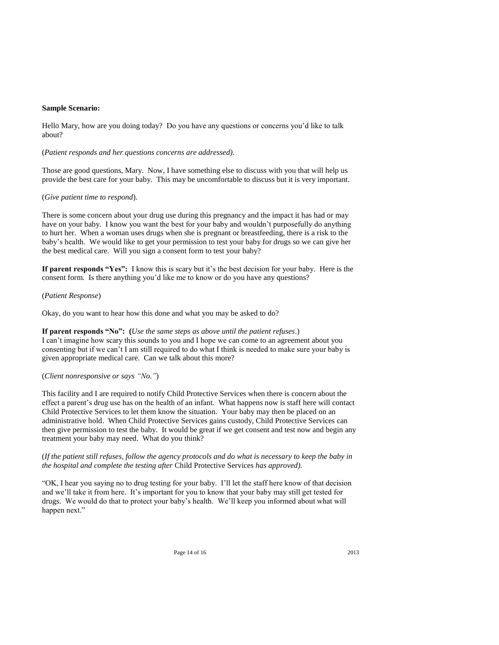#### **Sample Scenario:**

Hello Mary, how are you doing today? Do you have any questions or concerns you'd like to talk about?

#### (*Patient responds and her questions concerns are addressed).*

Those are good questions, Mary. Now, I have something else to discuss with you that will help us provide the best care for your baby. This may be uncomfortable to discuss but it is very important.

#### (*Give patient time to respond*).

There is some concern about your drug use during this pregnancy and the impact it has had or may have on your baby. I know you want the best for your baby and wouldn't purposefully do anything to hurt her. When a woman uses drugs when she is pregnant or breastfeeding, there is a risk to the baby's health. We would like to get your permission to test your baby for drugs so we can give her the best medical care. Will you sign a consent form to test your baby?

**If parent responds "Yes":** I know this is scary but it's the best decision for your baby. Here is the consent form. Is there anything you'd like me to know or do you have any questions?

## (*Patient Response*)

Okay, do you want to hear how this done and what you may be asked to do?

**If parent responds "No": (***Use the same steps as above until the patient refuses*.) I can't imagine how scary this sounds to you and I hope we can come to an agreement about you consenting but if we can't I am still required to do what I think is needed to make sure your baby is given appropriate medical care. Can we talk about this more?

# (*Client nonresponsive or says "No."*)

This facility and I are required to notify Child Protective Services when there is concern about the effect a parent's drug use has on the health of an infant. What happens now is staff here will contact Child Protective Services to let them know the situation. Your baby may then be placed on an administrative hold. When Child Protective Services gains custody, Child Protective Services can then give permission to test the baby. It would be great if we get consent and test now and begin any treatment your baby may need. What do you think?

(*If the patient still refuses, follow the agency protocols and do what is necessary to keep the baby in the hospital and complete the testing after* Child Protective Services *has approved).*

"OK, I hear you saying no to drug testing for your baby. I'll let the staff here know of that decision and we'll take it from here. It's important for you to know that your baby may still get tested for drugs. We would do that to protect your baby's health. We'll keep you informed about what will happen next."

Page 14 of 16 2013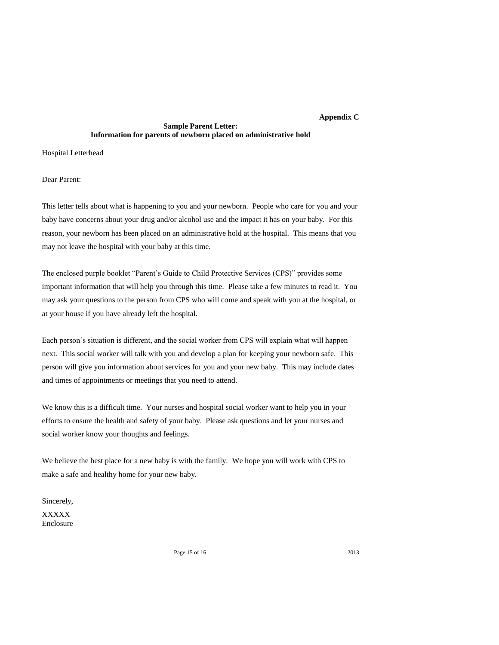# **Appendix C**

# **Sample Parent Letter: Information for parents of newborn placed on administrative hold**

Hospital Letterhead

Dear Parent:

This letter tells about what is happening to you and your newborn. People who care for you and your baby have concerns about your drug and/or alcohol use and the impact it has on your baby. For this reason, your newborn has been placed on an administrative hold at the hospital. This means that you may not leave the hospital with your baby at this time.

The enclosed purple booklet "Parent's Guide to Child Protective Services (CPS)" provides some important information that will help you through this time. Please take a few minutes to read it. You may ask your questions to the person from CPS who will come and speak with you at the hospital, or at your house if you have already left the hospital.

Each person's situation is different, and the social worker from CPS will explain what will happen next. This social worker will talk with you and develop a plan for keeping your newborn safe. This person will give you information about services for you and your new baby. This may include dates and times of appointments or meetings that you need to attend.

We know this is a difficult time. Your nurses and hospital social worker want to help you in your efforts to ensure the health and safety of your baby. Please ask questions and let your nurses and social worker know your thoughts and feelings.

We believe the best place for a new baby is with the family. We hope you will work with CPS to make a safe and healthy home for your new baby.

Sincerely, XXXXX Enclosure

Page 15 of 16 2013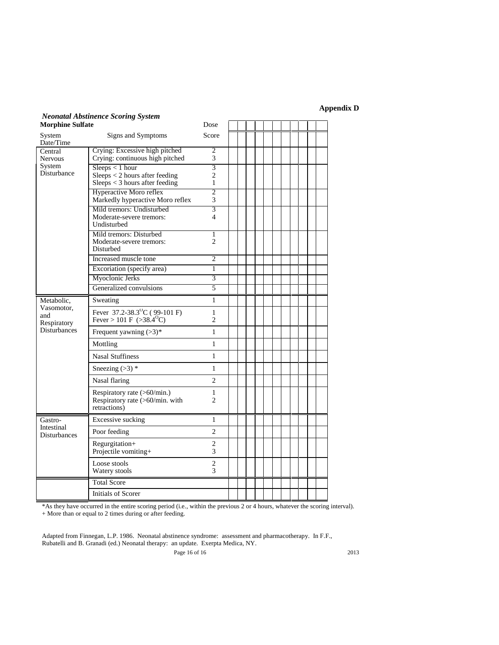**Appendix D**

| <b>Morphine Sulfate</b>                                               | <b>Neonatal Abstinence Scoring System</b>                                             | Dose                                    |  |  |  |  |  |  |
|-----------------------------------------------------------------------|---------------------------------------------------------------------------------------|-----------------------------------------|--|--|--|--|--|--|
| System<br>Date/Time                                                   | Signs and Symptoms                                                                    | Score                                   |  |  |  |  |  |  |
| Central<br><b>Nervous</b><br>System<br>Disturbance                    | Crying: Excessive high pitched<br>Crying: continuous high pitched                     | $\overline{c}$<br>3                     |  |  |  |  |  |  |
|                                                                       | Sleeps < 1 hour<br>Sleeps < 2 hours after feeding<br>$Sleeps < 3$ hours after feeding | $\overline{3}$<br>$\overline{2}$<br>1   |  |  |  |  |  |  |
|                                                                       | Hyperactive Moro reflex<br>Markedly hyperactive Moro reflex                           | $\overline{2}$<br>3                     |  |  |  |  |  |  |
|                                                                       | Mild tremors: Undisturbed<br>Moderate-severe tremors:<br>Undisturbed                  | $\overline{3}$<br>$\boldsymbol{\Delta}$ |  |  |  |  |  |  |
|                                                                       | Mild tremors: Disturbed<br>Moderate-severe tremors:<br><b>Disturbed</b>               | 1<br>$\overline{c}$                     |  |  |  |  |  |  |
|                                                                       | Increased muscle tone                                                                 | $\overline{c}$                          |  |  |  |  |  |  |
|                                                                       | Excoriation (specify area)                                                            | 1                                       |  |  |  |  |  |  |
|                                                                       | Myoclonic Jerks                                                                       | 3                                       |  |  |  |  |  |  |
|                                                                       | Generalized convulsions                                                               | 5                                       |  |  |  |  |  |  |
| Metabolic,<br>Vasomotor.<br>and<br>Respiratory<br><b>Disturbances</b> | Sweating                                                                              | 1                                       |  |  |  |  |  |  |
|                                                                       | Fever 37.2-38.3 <sup>°</sup> C (99-101 F)<br>Fever > 101 F (>38.4 <sup>o</sup> C)     | $\mathbf{1}$<br>$\overline{2}$          |  |  |  |  |  |  |
|                                                                       | Frequent yawning $(>3)^*$                                                             | 1                                       |  |  |  |  |  |  |
|                                                                       | Mottling                                                                              | $\mathbf{1}$                            |  |  |  |  |  |  |
|                                                                       | <b>Nasal Stuffiness</b>                                                               | $\mathbf{1}$                            |  |  |  |  |  |  |
|                                                                       | Sneezing $(>3)$ *                                                                     | $\mathbf{1}$                            |  |  |  |  |  |  |
|                                                                       | Nasal flaring                                                                         | $\overline{c}$                          |  |  |  |  |  |  |
|                                                                       | Respiratory rate (>60/min.)<br>Respiratory rate (>60/min. with<br>retractions)        | $\mathbf{1}$<br>$\overline{2}$          |  |  |  |  |  |  |
| Gastro-<br>Intestinal<br><b>Disturbances</b>                          | Excessive sucking                                                                     | 1                                       |  |  |  |  |  |  |
|                                                                       | Poor feeding                                                                          | $\mathfrak{D}$                          |  |  |  |  |  |  |
|                                                                       | Regurgitation+<br>Projectile vomiting+                                                | $\overline{2}$<br>3                     |  |  |  |  |  |  |
|                                                                       | Loose stools<br>Watery stools                                                         | $\mathbf{2}$<br>3                       |  |  |  |  |  |  |
|                                                                       | <b>Total Score</b>                                                                    |                                         |  |  |  |  |  |  |
|                                                                       | Initials of Scorer                                                                    |                                         |  |  |  |  |  |  |

\*As they have occurred in the entire scoring period (i.e., within the previous 2 or 4 hours, whatever the scoring interval). + More than or equal to 2 times during or after feeding.

Page 16 of 16 2013 Adapted from Finnegan, L.P. 1986. Neonatal abstinence syndrome: assessment and pharmacotherapy. In F.F., Rubatelli and B. Granadi (ed.) Neonatal therapy: an update. Exerpta Medica, NY.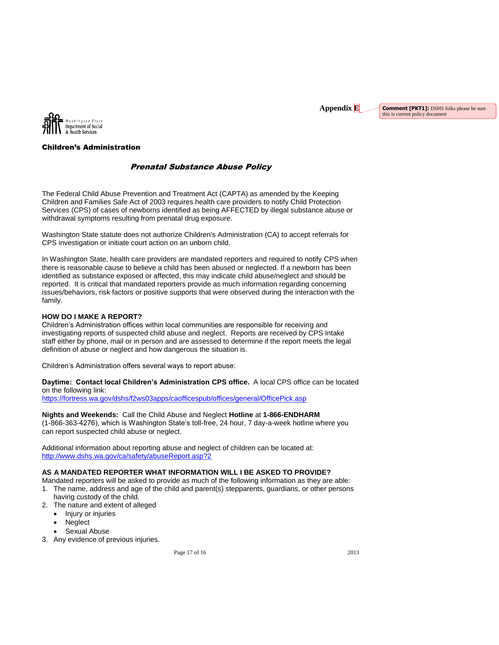**Comment [PKT1]:** DSHS folks please be sure this is current policy document



# Children's Administration

# Prenatal Substance Abuse Policy

The Federal Child Abuse Prevention and Treatment Act (CAPTA) as amended by the Keeping Children and Families Safe Act of 2003 requires health care providers to notify Child Protection Services (CPS) of cases of newborns identified as being AFFECTED by illegal substance abuse or withdrawal symptoms resulting from prenatal drug exposure.

Washington State statute does not authorize Children's Administration (CA) to accept referrals for CPS investigation or initiate court action on an unborn child.

In Washington State, health care providers are mandated reporters and required to notify CPS when there is reasonable cause to believe a child has been abused or neglected*.* If a newborn has been identified as substance exposed or affected, this may indicate child abuse/neglect and should be reported. It is critical that mandated reporters provide as much information regarding concerning issues/behaviors, risk factors or positive supports that were observed during the interaction with the family.

#### **HOW DO I MAKE A REPORT?**

Children's Administration offices within local communities are responsible for receiving and investigating reports of suspected child abuse and neglect. Reports are received by CPS Intake staff either by phone, mail or in person and are assessed to determine if the report meets the legal definition of abuse or neglect and how dangerous the situation is.

Children's Administration offers several ways to report abuse:

**Daytime: Contact local Children's Administration CPS office.** A local CPS office can be located on the following link:

https://fortress.wa.gov/dshs/f2ws03apps/caofficespub/offices/general/OfficePick.asp

**Nights and Weekends:** Call the Child Abuse and Neglect **Hotline** at **1-866-ENDHARM** (1-866-363-4276), which is Washington State's toll-free, 24 hour, 7 day-a-week hotline where you can report suspected child abuse or neglect.

Additional information about reporting abuse and neglect of children can be located at: http://www.dshs.wa.gov/ca/safety/abuseReport.asp?2

## **AS A MANDATED REPORTER WHAT INFORMATION WILL I BE ASKED TO PROVIDE?**

- Mandated reporters will be asked to provide as much of the following information as they are able: 1. The name, address and age of the child and parent(s) stepparents, guardians, or other persons
- having custody of the child. 2. The nature and extent of alleged
	- Injury or injuries
	- **Neglect**
	- Sexual Abuse
- 3. Any evidence of previous injuries.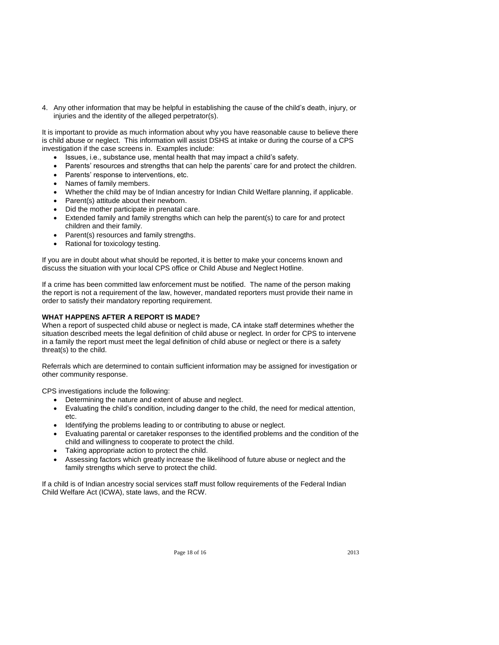4. Any other information that may be helpful in establishing the cause of the child's death, injury, or injuries and the identity of the alleged perpetrator(s).

It is important to provide as much information about why you have reasonable cause to believe there is child abuse or neglect. This information will assist DSHS at intake or during the course of a CPS investigation if the case screens in. Examples include:

- Issues, i.e., substance use, mental health that may impact a child's safety.
- Parents' resources and strengths that can help the parents' care for and protect the children.
- Parents' response to interventions, etc.
- Names of family members.
- Whether the child may be of Indian ancestry for Indian Child Welfare planning, if applicable.
- Parent(s) attitude about their newborn.
- Did the mother participate in prenatal care.
- Extended family and family strengths which can help the parent(s) to care for and protect children and their family.
- Parent(s) resources and family strengths.
- Rational for toxicology testing.

If you are in doubt about what should be reported, it is better to make your concerns known and discuss the situation with your local CPS office or Child Abuse and Neglect Hotline.

If a crime has been committed law enforcement must be notified. The name of the person making the report is not a requirement of the law, however, mandated reporters must provide their name in order to satisfy their mandatory reporting requirement.

#### **WHAT HAPPENS AFTER A REPORT IS MADE?**

When a report of suspected child abuse or neglect is made, CA intake staff determines whether the situation described meets the legal definition of child abuse or neglect. In order for CPS to intervene in a family the report must meet the legal definition of child abuse or neglect or there is a safety threat(s) to the child.

Referrals which are determined to contain sufficient information may be assigned for investigation or other community response.

CPS investigations include the following:

- Determining the nature and extent of abuse and neglect.
- Evaluating the child's condition, including danger to the child, the need for medical attention, etc.
- Identifying the problems leading to or contributing to abuse or neglect.
- Evaluating parental or caretaker responses to the identified problems and the condition of the child and willingness to cooperate to protect the child.
- Taking appropriate action to protect the child.
- Assessing factors which greatly increase the likelihood of future abuse or neglect and the family strengths which serve to protect the child.

If a child is of Indian ancestry social services staff must follow requirements of the Federal Indian Child Welfare Act (ICWA), state laws, and the RCW.

Page 18 of 16 2013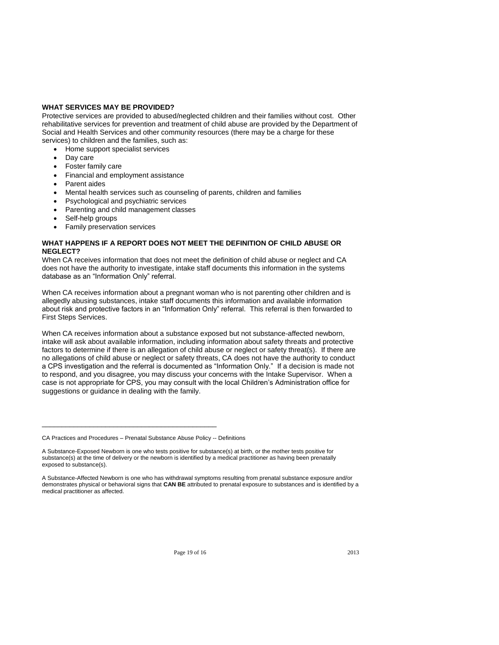#### **WHAT SERVICES MAY BE PROVIDED?**

Protective services are provided to abused/neglected children and their families without cost. Other rehabilitative services for prevention and treatment of child abuse are provided by the Department of Social and Health Services and other community resources (there may be a charge for these services) to children and the families, such as:

- Home support specialist services
- Day care
- Foster family care
- Financial and employment assistance
- Parent aides
- Mental health services such as counseling of parents, children and families
- Psychological and psychiatric services
- Parenting and child management classes
- Self-help groups
- Family preservation services

## **WHAT HAPPENS IF A REPORT DOES NOT MEET THE DEFINITION OF CHILD ABUSE OR NEGLECT?**

When CA receives information that does not meet the definition of child abuse or neglect and CA does not have the authority to investigate, intake staff documents this information in the systems database as an "Information Only" referral.

When CA receives information about a pregnant woman who is not parenting other children and is allegedly abusing substances, intake staff documents this information and available information about risk and protective factors in an "Information Only" referral. This referral is then forwarded to First Steps Services.

When CA receives information about a substance exposed but not substance-affected newborn, intake will ask about available information, including information about safety threats and protective factors to determine if there is an allegation of child abuse or neglect or safety threat(s). If there are no allegations of child abuse or neglect or safety threats, CA does not have the authority to conduct a CPS investigation and the referral is documented as "Information Only." If a decision is made not to respond, and you disagree, you may discuss your concerns with the Intake Supervisor. When a case is not appropriate for CPS, you may consult with the local Children's Administration office for suggestions or guidance in dealing with the family.

\_\_\_\_\_\_\_\_\_\_\_\_\_\_\_\_\_\_\_\_\_\_\_\_\_\_\_\_\_\_\_\_\_\_\_\_\_\_\_\_\_\_\_\_

CA Practices and Procedures – Prenatal Substance Abuse Policy -- Definitions

A Substance-Exposed Newborn is one who tests positive for substance(s) at birth, or the mother tests positive for substance(s) at the time of delivery or the newborn is identified by a medical practitioner as having been prenatally exposed to substance(s).

A Substance-Affected Newborn is one who has withdrawal symptoms resulting from prenatal substance exposure and/or demonstrates physical or behavioral signs that **CAN BE** attributed to prenatal exposure to substances and is identified by a medical practitioner as affected.